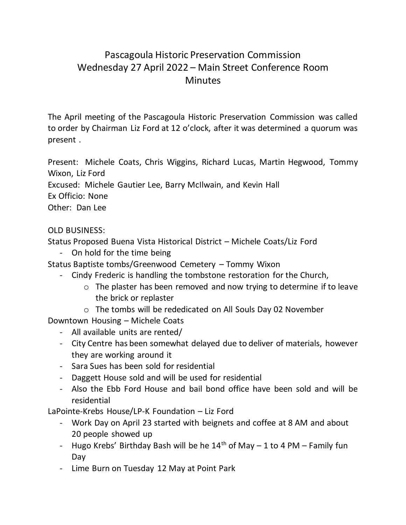## Pascagoula Historic Preservation Commission Wednesday 27 April 2022 – Main Street Conference Room **Minutes**

The April meeting of the Pascagoula Historic Preservation Commission was called to order by Chairman Liz Ford at 12 o'clock, after it was determined a quorum was present .

Present: Michele Coats, Chris Wiggins, Richard Lucas, Martin Hegwood, Tommy Wixon, Liz Ford

Excused: Michele Gautier Lee, Barry McIlwain, and Kevin Hall

Ex Officio: None

Other: Dan Lee

## OLD BUSINESS:

Status Proposed Buena Vista Historical District – Michele Coats/Liz Ford

- On hold for the time being

Status Baptiste tombs/Greenwood Cemetery – Tommy Wixon

- Cindy Frederic is handling the tombstone restoration for the Church,
	- o The plaster has been removed and now trying to determine if to leave the brick or replaster
	- o The tombs will be rededicated on All Souls Day 02 November

Downtown Housing – Michele Coats

- All available units are rented/
- City Centre has been somewhat delayed due to deliver of materials, however they are working around it
- Sara Sues has been sold for residential
- Daggett House sold and will be used for residential
- Also the Ebb Ford House and bail bond office have been sold and will be residential

LaPointe-Krebs House/LP-K Foundation – Liz Ford

- Work Day on April 23 started with beignets and coffee at 8 AM and about 20 people showed up
- Hugo Krebs' Birthday Bash will be he  $14<sup>th</sup>$  of May 1 to 4 PM Family fun Day
- Lime Burn on Tuesday 12 May at Point Park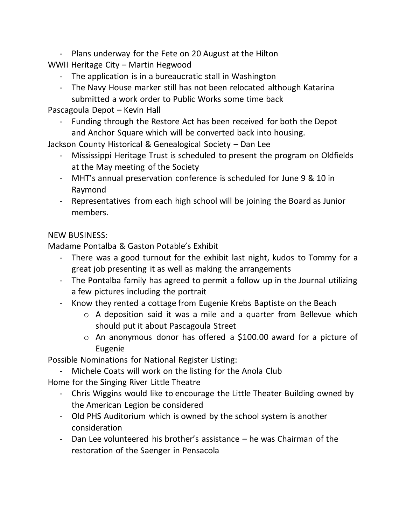- Plans underway for the Fete on 20 August at the Hilton

WWII Heritage City – Martin Hegwood

- The application is in a bureaucratic stall in Washington
- The Navy House marker still has not been relocated although Katarina submitted a work order to Public Works some time back

Pascagoula Depot – Kevin Hall

Funding through the Restore Act has been received for both the Depot and Anchor Square which will be converted back into housing.

Jackson County Historical & Genealogical Society – Dan Lee

- Mississippi Heritage Trust is scheduled to present the program on Oldfields at the May meeting of the Society
- MHT's annual preservation conference is scheduled for June 9 & 10 in Raymond
- Representatives from each high school will be joining the Board as Junior members.

## NEW BUSINESS:

Madame Pontalba & Gaston Potable's Exhibit

- There was a good turnout for the exhibit last night, kudos to Tommy for a great job presenting it as well as making the arrangements
- The Pontalba family has agreed to permit a follow up in the Journal utilizing a few pictures including the portrait
- Know they rented a cottage from Eugenie Krebs Baptiste on the Beach
	- o A deposition said it was a mile and a quarter from Bellevue which should put it about Pascagoula Street
	- o An anonymous donor has offered a \$100.00 award for a picture of Eugenie

Possible Nominations for National Register Listing:

- Michele Coats will work on the listing for the Anola Club

Home for the Singing River Little Theatre

- Chris Wiggins would like to encourage the Little Theater Building owned by the American Legion be considered
- Old PHS Auditorium which is owned by the school system is another consideration
- Dan Lee volunteered his brother's assistance he was Chairman of the restoration of the Saenger in Pensacola